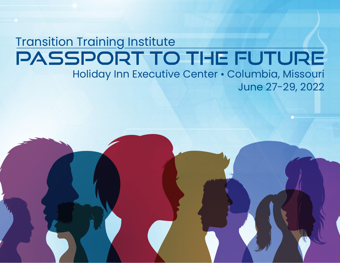## **Transition Training Institute** PASSPORT TO THE FUTURE Holiday Inn Executive Center • Columbia, Missouri June 27-29, 2022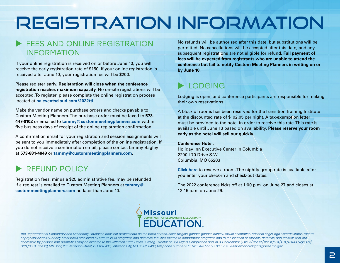# REGISTRATION INFORMATION

## FFFS AND ONLINE REGISTRATION INFORMATION

If your online registration is received on or before June 10, you will receive the early registration rate of \$150. If your online registration is received after June 10, your registration fee will be \$200.

Please register early. **Registration will close when the conference registration reaches maximum capacity.** No on-site registrations will be accepted. To register, please complete the online registration process located at **[na.eventscloud.com/2022tti](https://na.eventscloud.com/2022tti)**.

Make the vendor name on purchase orders and checks payable to Custom Meeting Planners. The purchase order must be faxed to **573- 447-0102** or emailed to **[tammy@custommeetingplanners.com](mailto:tammy%40custommeetingplanners.com?subject=)** within five business days of receipt of the online registration confirmation.

A confirmation email for your registration and session assignments will be sent to you immediately after completion of the online registration. If you do not receive a confirmation email, please contact Tammy Bagley at **573-881-4849** or **[tammy@custommeetingplanners.com](mailto:tammy%40custommeetingplanners.com?subject=)**.

## REFUND POLICY

Registration fees, minus a \$25 administrative fee, may be refunded if a request is emailed to Custom Meeting Planners at **[tammy@](mailto:tammy%40custommeetingplanners.com?subject=) [custommeetingplanners.com](mailto:tammy%40custommeetingplanners.com?subject=)** no later than June 10.

No refunds will be authorized after this date, but substitutions will be permitted. No cancellations will be accepted after this date, and any subsequent registrations are not eligible for refund. **Full payment of fees will be expected from registrants who are unable to attend the conference but fail to notify Custom Meeting Planners in writing on or by June 10.**

## **LODGING**

Lodging is open, and conference participants are responsible for making their own reservations.

A block of rooms has been reserved for the Transition Training Institute at the discounted rate of \$102.05 per night. A tax-exemption letter must be provided to the hotel in order to receive this rate. This rate is available until June 13 based on availability. **Please reserve your room early as the hotel will sell out quickly.**

#### **Conference Hotel:**

Holiday Inn Executive Center in Columbia 2200 I-70 Drive S.W. Columbia, MO 65203

**[Click here](https://www.holidayinn.com/redirect?path=hd&brandCode=HI&localeCode=en®ionCode=1&hotelCode=coucc&_PMID=99801505&GPC=ESE&cn=no&viewfullsite=true)** to reserve a room. The nightly group rate is available after you enter your check-in and check-out dates.

The 2022 conference kicks off at 1:00 p.m. on June 27 and closes at 12:15 p.m. on June 29.



*The Department of Elementary and Secondary Education does not discriminate on the basis of race, color, religion, gender, gender identity, sexual orientation, national origin, age, veteran status, mental or physical disability, or any other basis prohibited by statute in its programs and activities. Inquiries related to department programs and to the location of services, activities, and facilities that are accessible by persons with disabilities may be directed to the Jefferson State Office Building, Director of Civil Rights Compliance and MOA Coordinator (Title VI/Title VII/Title IX/504/ADA/ADAAA/Age Act/ GINA/USDA Title VI), 5th Floor, 205 Jefferson Street, P.O. Box 480, Jefferson City, MO 65102-0480; telephone number 573-526-4757 or TTY 800-735-2966; email civilrights@dese.mo.gov.*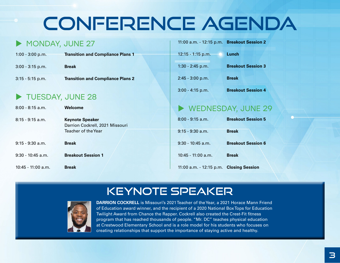# Conference Agenda

## MONDAY, JUNE 27

| $1:00 - 3:00$ p.m. | <b>Transition and Compliance Plans 1</b> |
|--------------------|------------------------------------------|
| $3:00 - 3:15$ p.m. | <b>Break</b>                             |
| $3:15 - 5:15$ p.m. | <b>Transition and Compliance Plans 2</b> |

## TUESDAY, JUNE 28

| $8:00 - 8:15$ a.m.  | Welcome                                                   |
|---------------------|-----------------------------------------------------------|
| $8:15 - 9:15$ a.m.  | <b>Keynote Speaker</b><br>Darrion Cockrell, 2021 Missouri |
|                     | Teacher of the Year                                       |
| $9:15 - 9:30$ a.m.  | <b>Break</b>                                              |
| $9:30 - 10:45$ a.m. | <b>Breakout Session 1</b>                                 |
| 10:45 - 11:00 a.m.  | <b>Break</b>                                              |

## 11:00 a.m. - 12:15 p.m. **Breakout Session 2** 12:15 - 1:15 p.m. **Lunch** 1:30 - 2:45 p.m. **Breakout Session 3** 2:45 - 3:00 p.m. **Break** 3:00 - 4:15 p.m. **Breakout Session 4**

## WEDNESDAY, JUNE 29

| $8:00 - 9:15$ a.m.                      | <b>Breakout Session 5</b> |
|-----------------------------------------|---------------------------|
| $9:15 - 9:30$ a.m.                      | <b>Break</b>              |
| $9:30 - 10:45$ a.m.                     | <b>Breakout Session 6</b> |
| 10:45 - 11:00 a.m.                      | <b>Break</b>              |
| 11:00 a.m. - 12:15 p.m. Closing Session |                           |

## Keynote Speaker



**DARRION COCKRELL** is Missouri's 2021 Teacher of the Year, a 2021 Horace Mann Friend of Education award winner, and the recipient of a 2020 National Box Tops for Education Twilight Award from Chance the Rapper. Cockrell also created the Crest-Fit fitness program that has reached thousands of people. "Mr. DC" teaches physical education at Crestwood Elementary School and is a role model for his students who focuses on creating relationships that support the importance of staying active and healthy.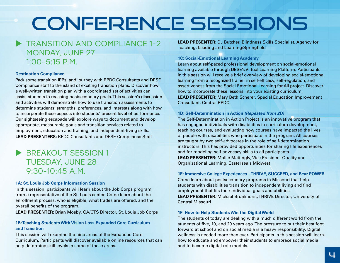# Conference Sessions

## **TRANSITION AND COMPI IANCE 1-2** MONDAY, JUNE 27  $1:00 - 5:15$  P.M.

#### **Destination Compliance**

Pack some transition IEPs, and journey with RPDC Consultants and DESE Compliance staff to the island of exciting transition plans. Discover how a well-written transition plan with a coordinated set of activities can assist students in reaching postsecondary goals. This session's discussion and activities will demonstrate how to use transition assessments to determine students' strengths, preferences, and interests along with how to incorporate these aspects into students' present level of performance. Our sightseeing escapade will explore ways to document and develop appropriate, measurable goals and transition services related to employment, education and training, and independent-living skills. **LEAD PRESENTERS:** RPDC Consultants and DESE Compliance Staff

## **BREAKOUT SESSION 1** TUESDAY, JUNE 28  $9.30 - 10.45$  A.M.

#### **1A: St. Louis Job Corps Information Session**

In this session, participants will learn about the Job Corps program from a representative of the St. Louis center. Come learn about the enrollment process, who is eligible, what trades are offered, and the overall benefits of the program.

**LEAD PRESENTER:** Brian Mosby, OA/CTS Director, St. Louis Job Corps

#### **1B: Teaching Students With Vision Loss Expanded Core Curriculum and Transition**

This session will examine the nine areas of the Expanded Core Curriculum. Participants will discover available online resources that can help determine skill levels in some of these areas.

**LEAD PRESENTER:** DJ Butcher, Blindness Skills Specialist, Agency for Teaching, Leading and Learning/Springfield

#### **1C: Social-Emotional Learning Academy**

Learn about self-paced professional development on social-emotional learning available through DESE's Virtual Learning Platform. Participants in this session will receive a brief overview of developing social-emotional learning from a recognized trainer in self-efficacy, self-regulation, and assertiveness from the Social-Emotional Learning for All project. Discover how to incorporate these lessons into your existing curriculum.

**LEAD PRESENTER:** Mary Beth Scherer, Special Education Improvement Consultant, Central RPDC

#### **1D: Self-Determination in Action** *(Repeated from 2D)*

The Self-Determination in Action Project is an innovative program that has engaged individuals with disabilities in curriculum development, teaching courses, and evaluating how courses have impacted the lives of people with disabilities who participate in the program. All courses are taught by two self-advocates in the role of self-determination instructors. This has provided opportunities for sharing life experiences and for modeling self-advocacy skills to all participants. **LEAD PRESENTER:** Mollie Mattingly, Vice President Quality and

Organizational Learning, Easterseals Midwest

#### **1E: Immersive College Experiences – THRIVE, SUCCEED, and Bear POWER**

Come learn about postsecondary programs in Missouri that help students with disabilities transition to independent living and find employment that fits their individual goals and abilities.

**LEAD PRESENTER:** Michael Brunkhorst, THRIVE Director, University of Central Missouri

#### **1F: How to Help Students Win the Digital World**

The students of today are dealing with a much different world from the students of five, 10, and 20 years ago. The pressure to put their best foot forward at school and on social media is a heavy responsibility. Digital wellness is needed more than ever. Participants in this session will learn how to educate and empower their students to embrace social media and to become digital role models.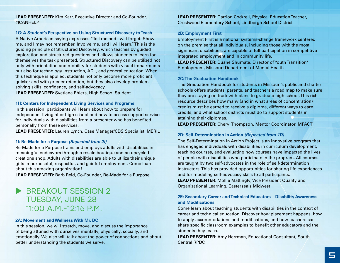**LEAD PRESENTER:** Kim Karr, Executive Director and Co-Founder, #ICANHELP

#### **1G: A Student's Perspective on Using Structured Discovery to Teach**

A Native American saying expresses "Tell me and I will forget. Show me, and I may not remember. Involve me, and I will learn." This is the guiding principle of Structured Discovery, which teaches by guided exploration and structured questions and allows students to learn for themselves the task presented. Structured Discovery can be utilized not only with orientation and mobility for students with visual impairments but also for technology instruction, ADL, and general education. When this technique is applied, students not only become more proficient quicker and with greater retention, but they also develop problemsolving skills, confidence, and self-advocacy.

**LEAD PRESENTER:** Svetlana Ehlers, High School Student

#### **1H: Centers for Independent Living Services and Programs**

In this session, participants will learn about how to prepare for independent living after high school and how to access support services for individuals with disabilities from a presenter who has benefited personally from these services.

**LEAD PRESENTER:** Lauren Lynch, Case Manager/CDS Specialist, MERIL

#### **1I: Re-Made for a Purpose** *(Repeated from 2I)*

Re-Made for a Purpose trains and employs adults with disabilities in meaningful endeavors through a resale boutique and an upcycledcreations shop. Adults with disabilities are able to utilize their unique gifts in purposeful, respectful, and gainful employment. Come learn about this amazing organization!

**LEAD PRESENTER:** Barb Reid, Co-Founder, Re-Made for a Purpose

## BREAKOUT SESSION 2 TUESDAY, JUNE 28 11:00 A.M.-12:15 P.M.

#### **2A: Movement and Wellness With Mr. DC**

In this session, we will stretch, move, and discuss the importance of being attuned with ourselves mentally, physically, socially, and emotionally. We also will talk about the power of connections and about better understanding the students we serve.

**LEAD PRESENTER:** Darrion Cockrell, Physical Education Teacher, Crestwood Elementary School, Lindbergh School District

#### **2B: Employment First**

Employment First is a national systems-change framework centered on the premise that all individuals, including those with the most significant disabilities, are capable of full participation in competitive integrated employment and in community life.

**LEAD PRESENTER:** Duane Shumate, Director of Youth Transition/ Employment, Missouri Department of Mental Health

#### **2C: The Graduation Handbook**

The Graduation Handbook for students in Missouri's public and charter schools offers students, parents, and teachers a road map to make sure they are staying on track with plans to graduate high school. This rich resource describes how many (and in what areas of concentration) credits must be earned to receive a diploma, different ways to earn credits, and what school districts must do to support students in attaining their diplomas.

**LEAD PRESENTER:** Cheryl Thompson, Mentor Coordinator, MPACT

#### **2D: Self-Determination in Action** *(Repeated from 1D)*

The Self-Determination in Action Project is an innovative program that has engaged individuals with disabilities in curriculum development, teaching courses, and evaluating how courses have impacted the lives of people with disabilities who participate in the program. All courses are taught by two self-advocates in the role of self-determination instructors. This has provided opportunities for sharing life experiences and for modeling self-advocacy skills to all participants. **LEAD PRESENTER:** Mollie Mattingly, Vice President Quality and

Organizational Learning, Easterseals Midwest

#### **2E: Secondary Career and Technical Educators – Disability Awareness and Modifications**

Come learn about teaching students with disabilities in the context of career and technical education. Discover how placement happens, how to apply accommodations and modifications, and how teachers can share specific classroom examples to benefit other educators and the students they teach.

**LEAD PRESENTER:** Amy Herrman, Educational Consultant, South Central RPDC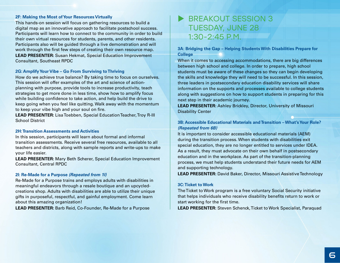#### **2F: Making the Most of Your Resources Virtually**

This hands-on session will focus on gathering resources to build a digital map as an innovative approach to facilitate postschool success. Participants will learn how to connect to the community in order to build their own virtual resources for students, parents, and other residents. Participants also will be guided through a live demonstration and will work through the first few steps of creating their own resource map. **LEAD PRESENTER:** Susan Hekmat, Special Education Improvement Consultant, Southeast RPDC

#### **2G: Amplify Your Vibe – Go From Surviving to Thriving**

How do we achieve true balance? By taking time to focus on ourselves. This session will offer examples of the art and science of actionplanning with purpose, provide tools to increase productivity, teach strategies to get more done in less time, show how to amplify focus while building confidence to take action, and help build the drive to keep going when you feel like quitting. Walk away with the momentum to keep your vibe high and your soul on fire.

**LEAD PRESENTER:** Lisa Toebben, Special Education Teacher, Troy R-III School District

#### **2H: Transition Assessments and Activities**

In this session, participants will learn about formal and informal transition assessments. Receive several free resources, available to all teachers and districts, along with sample reports and write-ups to make your life easier.

**LEAD PRESENTER:** Mary Beth Scherer, Special Education Improvement Consultant, Central RPDC

#### **2I: Re-Made for a Purpose** *(Repeated from 1I)*

Re-Made for a Purpose trains and employs adults with disabilities in meaningful endeavors through a resale boutique and an upcycledcreations shop. Adults with disabilities are able to utilize their unique gifts in purposeful, respectful, and gainful employment. Come learn about this amazing organization!

**LEAD PRESENTER:** Barb Reid, Co-Founder, Re-Made for a Purpose

## BREAKOUT SESSION 3 TUESDAY, JUNE 28 1:30-2:45 P.M.

**3A: Bridging the Gap – Helping Students With Disabilities Prepare for College**

When it comes to accessing accommodations, there are big differences between high school and college. In order to prepare, high school students must be aware of these changes so they can begin developing the skills and knowledge they will need to be successful. In this session, three leaders in postsecondary education disability services will share information on the supports and processes available to college students along with suggestions on how to support students in preparing for this next step in their academic journey.

**LEAD PRESENTER:** Ashley Brickley, Director, University of Missouri Disability Center

#### **3B: Accessible Educational Materials and Transition – What's Your Role?**  *(Repeated from 6B)*

It is important to consider accessible educational materials (AEM) during the transition process. When students with disabilities exit special education, they are no longer entitled to services under IDEA. As a result, they must advocate on their own behalf in postsecondary education and in the workplace. As part of the transition-planning process, we must help students understand their future needs for AEM and supporting technology.

**LEAD PRESENTER:** David Baker, Director, Missouri Assistive Technology

#### **3C: Ticket to Work**

The Ticket to Work program is a free voluntary Social Security initiative that helps individuals who receive disability benefits return to work or start working for the first time.

**LEAD PRESENTER:** Steven Schenck, Ticket to Work Specialist, Paraquad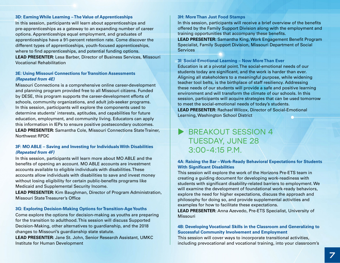#### **3D: Earning While Learning – The Value of Apprenticeships**

In this session, participants will learn about apprenticeships and pre-apprenticeships as a gateway to an expanding number of career options. Apprenticeships equal employment, and graduates of apprenticeships have a 91-percent retention rate. Come discover the different types of apprenticeships, youth-focused apprenticeships, where to find apprenticeships, and potential funding options.

**LEAD PRESENTER:** Lesa Barber, Director of Business Services, Missouri Vocational Rehabilitation

#### **3E: Using Missouri Connections for Transition Assessments**  *(Repeated from 4E)*

Missouri Connections is a comprehensive online career-development and planning program provided free to all Missouri citizens. Funded by DESE, this program supports the career-development efforts of schools, community organizations, and adult job-seeker programs. In this session, participants will explore the components used to determine students' interests, aptitudes, and capabilities for future education, employment, and community living. Educators can apply this information in IEPs to ensure positive postsecondary outcomes. **LEAD PRESENTER:** Samantha Cole, Missouri Connections State Trainer, Northwest RPDC

#### **3F: MO ABLE – Saving and Investing for Individuals With Disabilities**  *(Repeated from 4F)*

In this session, participants will learn more about MO ABLE and the benefits of opening an account. MO ABLE accounts are investment accounts available to eligible individuals with disabilities. These accounts allow individuals with disabilities to save and invest money without losing eligibility for certain public-benefits programs like Medicaid and Supplemental Security Income.

**LEAD PRESENTER:** Kim Baughman, Director of Program Administration, Missouri State Treasurer's Office

#### **3G: Exploring Decision-Making Options for Transition-Age Youths**

Come explore the options for decision-making as youths are preparing for the transition to adulthood. This session will discuss Supported Decision-Making, other alternatives to guardianship, and the 2018 changes to Missouri's guardianship state statute.

**LEAD PRESENTER:** Jane St. John, Senior Research Assistant, UMKC Institute for Human Development

#### **3H: More Than Just Food Stamps**

In this session, participants will receive a brief overview of the benefits offered by the Family Support Division along with the employment and training opportunities that accompany these benefits.

**LEAD PRESENTER:** Samantha King, Work Engagement Benefit Program Specialist, Family Support Division, Missouri Department of Social Services

#### **3I: Social-Emotional Learning – Now More Than Ever**

Education is at a pivotal point. The social-emotional needs of our students today are significant, and the work is harder than ever. Aligning all stakeholders to a meaningful purpose, while widening teacher tool belts, is the birthplace of staff resiliency. Addressing these needs of our students will provide a safe and positive learning environment and will transform the climate of our schools. In this session, participants will acquire strategies that can be used tomorrow to meet the social-emotional needs of today's students. **LEAD PRESENTER:** Rachael Wilcox, Director of Social-Emotional Learning, Washington School District

### $\blacktriangleright$  BREAKOUT SESSION 4 TUESDAY, JUNE 28  $3.00 - 4.15$  P.M.

#### **4A: Raising the Bar – Work-Ready Behavioral Expectations for Students With Significant Disabilities**

This session will explore the work of the Horizons Pre-ETS team in creating a guiding document for developing work-readiness with students with significant disability-related barriers to employment. We will examine the development of foundational work-ready behaviors, explore the need for higher expectations, discuss the approach and philosophy for doing so, and provide supplemental activities and examples for how to facilitate these expectations.

**LEAD PRESENTER:** Anna Azevedo, Pre-ETS Specialist, University of Missouri

#### **4B: Developing Vocational Skills in the Classroom and Generalizing to Successful Community Involvement and Employment**

This session will cover ways to incorporate transitional activities, including prevocational and vocational training, into your classroom's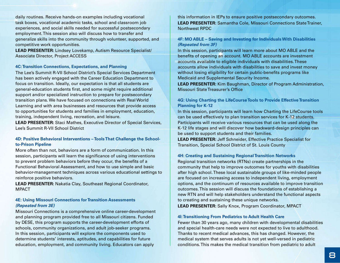daily routines. Receive hands-on examples including vocational task boxes, vocational academic tasks, school and classroom job experiences, and social skills needed for successful postsecondary employment. This session also will discuss how to transfer and generalize skills into the community through volunteer, supported, and competitive work opportunities.

**LEAD PRESENTER:** Lindsey Lovekamp, Autism Resource Specialist/ Associate Director, Project ACCESS

#### **4C: Transition Connections, Expectations, and Planning**

The Lee's Summit R-VII School District's Special Services Department has been actively engaged with the Career Education Department to focus on transition. Ideally, our expectation is that all students are general-education students first, and some might require additional support and/or specialized instruction to prepare for postsecondary transition plans. We have focused on connections with Real World Learning and with area businesses and resources that provide access to opportunities for students and families in employment, education, training, independent living, recreation, and leisure.

**LEAD PRESENTER:** Staci Mathes, Executive Director of Special Services, Lee's Summit R-VII School District

#### **4D: Positive Behavioral Interventions – Tools That Challenge the Schoolto-Prison Pipeline**

More often than not, behaviors are a form of communication. In this session, participants will learn the significance of using interventions to prevent problem behaviors before they occur, the benefits of a Functional Behavioral Assessment, and how to use simple and basic behavior-management techniques across various educational settings to reinforce positive behaviors.

**LEAD PRESENTER:** Nakatia Clay, Southeast Regional Coordinator, MPACT

#### **4E: Using Missouri Connections for Transition Assessments**  *(Repeated from 3E)*

Missouri Connections is a comprehensive online career-development and planning program provided free to all Missouri citizens. Funded by DESE, this program supports the career-development efforts of schools, community organizations, and adult job-seeker programs. In this session, participants will explore the components used to determine students' interests, aptitudes, and capabilities for future education, employment, and community living. Educators can apply

this information in IEPs to ensure positive postsecondary outcomes. **LEAD PRESENTER:** Samantha Cole, Missouri Connections State Trainer, Northwest RPDC

#### **4F: MO ABLE – Saving and Investing for Individuals With Disabilities**  *(Repeated from 3F)*

In this session, participants will learn more about MO ABLE and the benefits of opening an account. MO ABLE accounts are investment accounts available to eligible individuals with disabilities. These accounts allow individuals with disabilities to save and invest money without losing eligibility for certain public-benefits programs like Medicaid and Supplemental Security Income.

**LEAD PRESENTER:** Kim Baughman, Director of Program Administration, Missouri State Treasurer's Office

#### **4G: Using Charting the LifeCourse Tools to Provide Effective Transition Planning for K-12**

In this session, participants will learn how Charting the LifeCourse tools can be used effectively to plan transition services for K-12 students. Participants will receive various resources that can be used along the K-12 life stages and will discover how backward-design principles can be used to support students and their families.

**LEAD PRESENTER:** Jeff Schneider, Effective Practice Specialist for Transition, Special School District of St. Louis County

#### **4H: Creating and Sustaining Regional Transition Networks**

Regional transition networks (RTNs) create partnerships in the community that help to improve outcomes for youths with disabilities after high school. These local sustainable groups of like-minded people are focused on increasing access to independent living, employment options, and the continuum of resources available to improve transition outcomes. This session will discuss the foundations of establishing a new RTN and will help stakeholders understand the functional aspects to creating and sustaining these unique networks.

**LEAD PRESENTER:** Sally Knox, Program Coordinator, MPACT

#### **4I: Transitioning From Pediatrics to Adult Health Care**

Fewer than 30 years ago, many children with developmental disabilities and special health-care needs were not expected to live to adulthood. Thanks to recent medical advances, this has changed. However, the medical system that serves adults is not yet well-versed in pediatric conditions. This makes the medical transition from pediatric to adult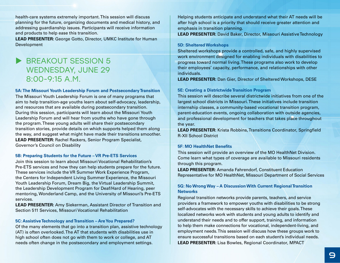health-care systems extremely important. This session will discuss planning for the future, organizing documents and medical history, and addressing guardianship issues. Participants will receive information and products to help ease this transition.

**LEAD PRESENTER:** George Gotto, Director, UMKC Institute for Human Development

## **BREAKOUT SESSION 5** WEDNESDAY, JUNE 29  $8.00 - 9.15$  A.M.

**5A: The Missouri Youth Leadership Forum and Postsecondary Transition** The Missouri Youth Leadership Forum is one of many programs that aim to help transition-age youths learn about self-advocacy, leadership, and resources that are available during postsecondary transition. During this session, participants will learn about the Missouri Youth Leadership Forum and will hear from youths who have gone through the program. These young adults will share their postsecondary transition stories, provide details on which supports helped them along the way, and suggest what might have made their transitions smoother. **LEAD PRESENTER:** Rachel Rackers, Senior Program Specialist, Governor's Council on Disability

#### **5B: Preparing Students for the Future – VR Pre-ETS Services**

Join this session to learn about Missouri Vocational Rehabilitation's Pre-ETS services and how they can help students prepare for the future. These services include the VR Summer Work Experience Program, the Centers for Independent Living Summer Experience, the Missouri Youth Leadership Forum, Dream Big, the Virtual Leadership Summit, the Leadership Development Program for Deaf/Hard of Hearing, peer mentoring, Wonderland Camp, and the University of Missouri's Pre-ETS services.

**LEAD PRESENTER:** Amy Siekerman, Assistant Director of Transition and Section 511 Services, Missouri Vocational Rehabilitation

#### **5C: Assistive Technology and Transition – Are You Prepared?**

Of the many elements that go into a transition plan, assistive technology (AT) is often overlooked. The AT that students with disabilities use in high school often does not go with them to work or college, and AT needs often change in the postsecondary and employment settings.

Helping students anticipate and understand what their AT needs will be after high school is a priority that should receive greater attention and emphasis in transition planning.

**LEAD PRESENTER:** David Baker, Director, Missouri Assistive Technology

#### **5D: Sheltered Workshops**

Sheltered workshops provide a controlled, safe, and highly supervised work environment designed for enabling individuals with disabilities to progress toward normal living. These programs also work to develop their employees' capacity, performance, and relationships with other individuals.

**LEAD PRESENTER:** Dan Gier, Director of Sheltered Workshops, DESE

#### **5E: Creating a Districtwide Transition Program**

This session will describe several districtwide initiatives from one of the largest school districts in Missouri. These initiatives include transition internship classes, a community-based vocational transition program, parent-education events, ongoing collaboration with outside agencies, and professional development for teachers that takes place throughout the year.

**LEAD PRESENTER:** Krista Robbins, Transitions Coordinator, Springfield R-XII School District

#### **5F: MO HealthNet Benefits**

This session will provide an overview of the MO HealthNet Division. Come learn what types of coverage are available to Missouri residents through this program.

**LEAD PRESENTER:** Amanda Fahrendorf, Constituent Education Representative for MO HealthNet, Missouri Department of Social Services

#### **5G: No Wrong Way – A Discussion With Current Regional Transition Networks**

Regional transition networks provide parents, teachers, and service providers a framework to empower youths with disabilities to be strong self-advocates with the necessary skills to achieve their goals. These localized networks work with students and young adults to identify and understand their needs and to offer support, training, and information to help them make connections for vocational, independent-living, and employment needs. This session will discuss how these groups work to ensure successful transitions based on each student's individual needs. **LEAD PRESENTER:** Lisa Bowles, Regional Coordinator, MPACT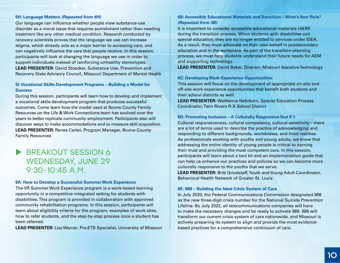#### **5H: Language Matters** *(Repeated from 6H)*

Our language can influence whether people view substance-use disorder as a moral issue that requires punishment rather than needing treatment like any other medical condition. Research conducted by recovery scientists proves that the language we use can increase stigma, which already acts as a major barrier to accessing care, and can negatively influence the care that people receive. In this session, participants will look at changing the language we use in order to support individuals instead of reinforcing unhealthy stereotypes. **LEAD PRESENTER:** David Stoecker, Substance Use, Prevention and Recovery State Advisory Council, Missouri Department of Mental Health

#### **5I: Vocational Skills-Development Programs – Building a Model for Success**

During this session, participants will learn how to develop and implement a vocational skills-development program that produces successful outcomes. Come learn how the model used at Boone County Family Resources on the Life & Work Connections team has evolved over the years to better replicate community employment. Participants also will discover ways to make accommodations and to measure skill acquisition. **LEAD PRESENTER:** Renee Carter, Program Manager, Boone County Family Resources

## BREAKOUT SESSION 6 WEDNESDAY, JUNE 29  $9:30-10:45$  A.M.

#### **6A: How to Develop a Successful Summer Work Experience**

The VR Summer Work Experience program is a work-based learning opportunity in a competitive integrated setting for students with disabilities. This program is provided in collaboration with approved community rehabilitation programs. In this session, participants will learn about eligibility criteria for the program, examples of work sites, how to refer students, and the step-by-step process once a student has been referred.

**LEAD PRESENTER:** Lisa Warner, Pre-ETS Specialist, University of Missouri

#### **6B: Accessible Educational Materials and Transition – What's Your Role?**  *(Repeated from 3B)*

It is important to consider accessible educational materials (AEM) during the transition process. When students with disabilities exit special education, they are no longer entitled to services under IDEA. As a result, they must advocate on their own behalf in postsecondary education and in the workplace. As part of the transition-planning process, we must help students understand their future needs for AEM and supporting technology.

**LEAD PRESENTER:** David Baker, Director, Missouri Assistive Technology

#### **6C: Developing Work-Experience Opportunities**

This session will focus on the development of appropriate on-site and off-site work experience opportunities that benefit both students and their school districts as well.

**LEAD PRESENTER:** WaWanna Nehrkorn, Special Education Process Coordinator, Twin Rivers R-X School District

#### **6D: Promoting Inclusion – A Culturally Responsive Tool Kit**

Cultural responsiveness, cultural competency, cultural sensitivity – there are a lot of terms used to describe the practice of acknowledging and responding to different backgrounds, worldviews, and lived realities. As professionals working with youths and young adults, we know that addressing the entire identity of young people is critical to earning their trust and providing the most competent care. In this session, participants will learn about a tool kit and an implementation guide that can help us enhance our practices and policies so we can become more culturally responsive to the youths that we serve.

**LEAD PRESENTER:** Britt Grindstaff, Youth and Young Adult Coordinator, Behavioral Health Network of Greater St. Louis

#### **6E: 988 – Building the Ideal Crisis System of Care**

In July 2020, the Federal Communications Commission designated 988 as the new three-digit crisis number for the National Suicide Prevention Lifeline. By July 2022, all telecommunications companies will have to make the necessary changes and be ready to activate 988. 988 will transform our current crisis system of care nationwide, and Missouri is actively preparing its system to align and provide the most evidencebased practices for a comprehensive continuum of care.